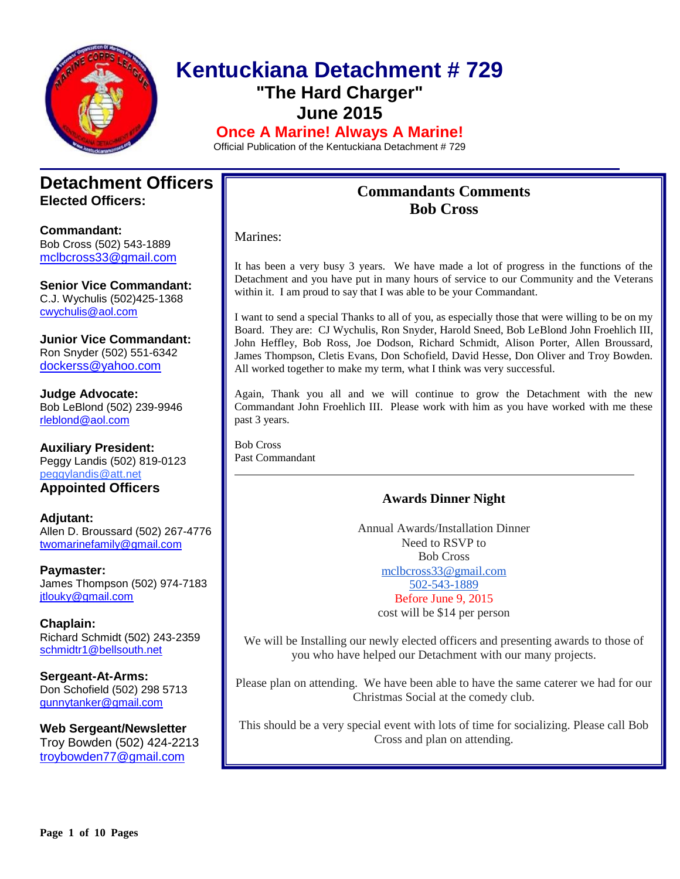

# **Kentuckiana Detachment # 729 "The Hard Charger" June 2015**

**Once A Marine! Always A Marine!**

Official Publication of the Kentuckiana Detachment # 729

## **Detachment Officers Elected Officers:**

**Commandant:**  Bob Cross (502) 543-1889 [mclbcross33@gmail.com](mailto:Mclcross33@gmail.com)

**Senior Vice Commandant:** C.J. Wychulis (502)425-1368 cwychulis@aol.com

**Junior Vice Commandant:** Ron Snyder (502) 551-6342 [dockerss@yahoo.com](mailto:dockerss@yahoo.com)

**Judge Advocate:** Bob LeBlond (502) 239-9946 rleblond@aol.com

**Auxiliary President:** Peggy Landis (502) 819-0123 peggylandis@att.net

**Appointed Officers**

**Adjutant:** Allen D. Broussard (502) 267-4776 [twomarinefamily@gmail.com](https://commcenter.insightbb.com/attach/2006/broussard.marines@insightbb.com)

**Paymaster:** James Thompson (502) 974-7183 [jtlouky@gmail.com](mailto:jtlouky@gmail.com)

**Chaplain:** Richard Schmidt (502) 243-2359 [schmidtr1@bellsouth.net](mailto:Alusmc75@gmail.com)

**Sergeant-At-Arms:** Don Schofield (502) 298 5713 [gunnytanker@gmail.com](mailto:gunnytanker@gmail.com)

**Web Sergeant/Newsletter** Troy Bowden (502) 424-2213 troybowden77@gmail.com

# **Commandants Comments Bob Cross**

Marines:

It has been a very busy 3 years. We have made a lot of progress in the functions of the Detachment and you have put in many hours of service to our Community and the Veterans within it. I am proud to say that I was able to be your Commandant.

I want to send a special Thanks to all of you, as especially those that were willing to be on my Board. They are: CJ Wychulis, Ron Snyder, Harold Sneed, Bob LeBlond John Froehlich III, John Heffley, Bob Ross, Joe Dodson, Richard Schmidt, Alison Porter, Allen Broussard, James Thompson, Cletis Evans, Don Schofield, David Hesse, Don Oliver and Troy Bowden. All worked together to make my term, what I think was very successful.

Again, Thank you all and we will continue to grow the Detachment with the new Commandant John Froehlich III. Please work with him as you have worked with me these past 3 years.

Bob Cross Past Commandant

## **Awards Dinner Night**

Annual Awards/Installation Dinner Need to RSVP to Bob Cross [mclbcross33@gmail.com](mailto:mclbcross33@gmail.com) [502-543-1889](tel:502-543-1889) Before June 9, 2015

cost will be \$14 per person

We will be Installing our newly elected officers and presenting awards to those of you who have helped our Detachment with our many projects.

Please plan on attending. We have been able to have the same caterer we had for our Christmas Social at the comedy club.

This should be a very special event with lots of time for socializing. Please call Bob Cross and plan on attending.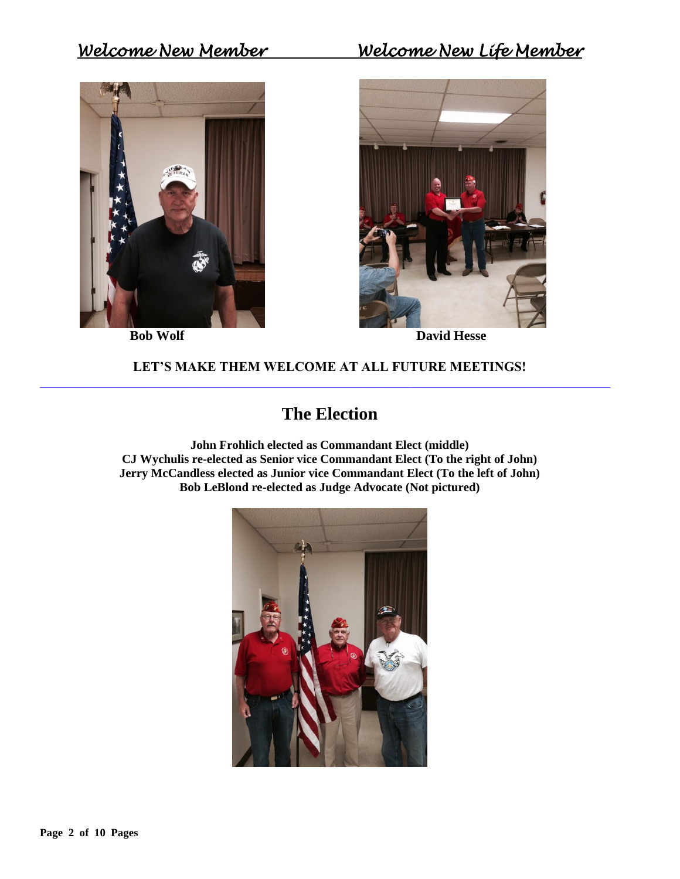# *Welcome New Member Welcome New Life Member*



**Bob Wolf** David Hesse

### **LET'S MAKE THEM WELCOME AT ALL FUTURE MEETINGS! \_\_\_\_\_\_\_\_\_\_\_\_\_\_\_\_\_\_\_\_\_\_\_\_\_\_\_\_\_\_\_\_\_\_\_\_\_\_\_\_\_\_\_\_\_\_\_\_\_\_\_\_\_\_\_\_\_\_\_\_\_\_\_\_\_\_\_\_\_\_\_\_\_\_\_\_\_**

# **The Election**

**John Frohlich elected as Commandant Elect (middle) CJ Wychulis re-elected as Senior vice Commandant Elect (To the right of John) Jerry McCandless elected as Junior vice Commandant Elect (To the left of John) Bob LeBlond re-elected as Judge Advocate (Not pictured)**

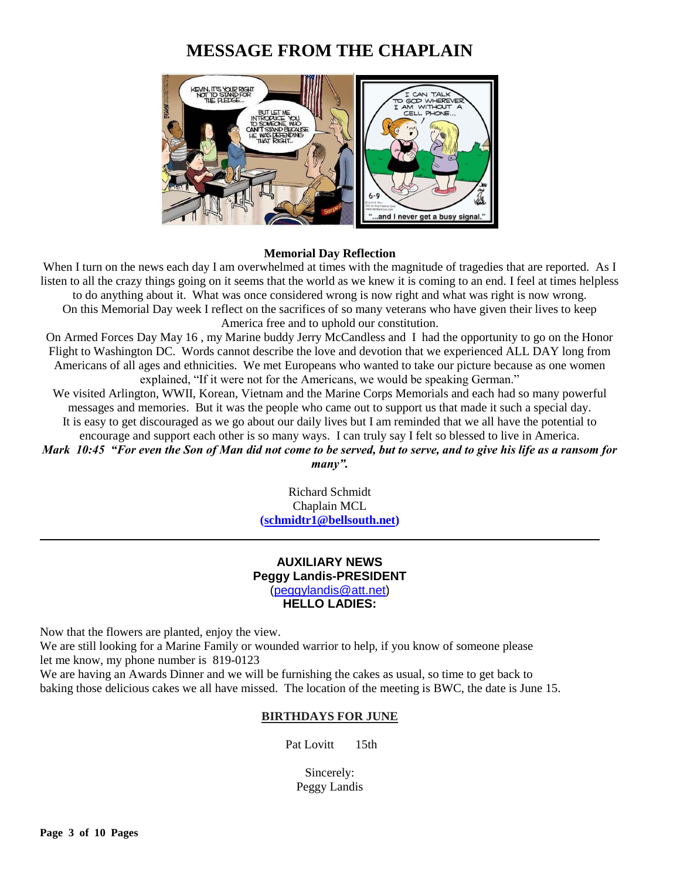# **MESSAGE FROM THE CHAPLAIN**



#### **Memorial Day Reflection**

When I turn on the news each day I am overwhelmed at times with the magnitude of tragedies that are reported. As I listen to all the crazy things going on it seems that the world as we knew it is coming to an end. I feel at times helpless to do anything about it. What was once considered wrong is now right and what was right is now wrong. On this Memorial Day week I reflect on the sacrifices of so many veterans who have given their lives to keep America free and to uphold our constitution.

On Armed Forces Day May 16 , my Marine buddy Jerry McCandless and I had the opportunity to go on the Honor Flight to Washington DC. Words cannot describe the love and devotion that we experienced ALL DAY long from Americans of all ages and ethnicities. We met Europeans who wanted to take our picture because as one women explained, "If it were not for the Americans, we would be speaking German."

We visited Arlington, WWII, Korean, Vietnam and the Marine Corps Memorials and each had so many powerful messages and memories. But it was the people who came out to support us that made it such a special day. It is easy to get discouraged as we go about our daily lives but I am reminded that we all have the potential to encourage and support each other is so many ways. I can truly say I felt so blessed to live in America.

*Mark 10:45 "For even the Son of Man did not come to be served, but to serve, and to give his life as a ransom for many".*

> Richard Schmidt Chaplain MCL **[\(schmidtr1@bellsouth.net\)](mailto:schmidtr1@bellsouth.net)**

#### **AUXILIARY NEWS Peggy Landis-PRESIDENT** [\(peggylandis@att.net\)](file:///C:/Users/Bob/AppData/Local/Microsoft/Windows/Temporary%20Internet%20Files/Bob/AppData/Local/Microsoft/Windows/Temporary%20Internet%20Files/Content.IE5/E9IEDDJK/peggylandis@att.net) **HELLO LADIES:**

Now that the flowers are planted, enjoy the view.

We are still looking for a Marine Family or wounded warrior to help, if you know of someone please let me know, my phone number is 819-0123

We are having an Awards Dinner and we will be furnishing the cakes as usual, so time to get back to baking those delicious cakes we all have missed. The location of the meeting is BWC, the date is June 15.

#### **BIRTHDAYS FOR JUNE**

Pat Lovitt 15th

Sincerely: Peggy Landis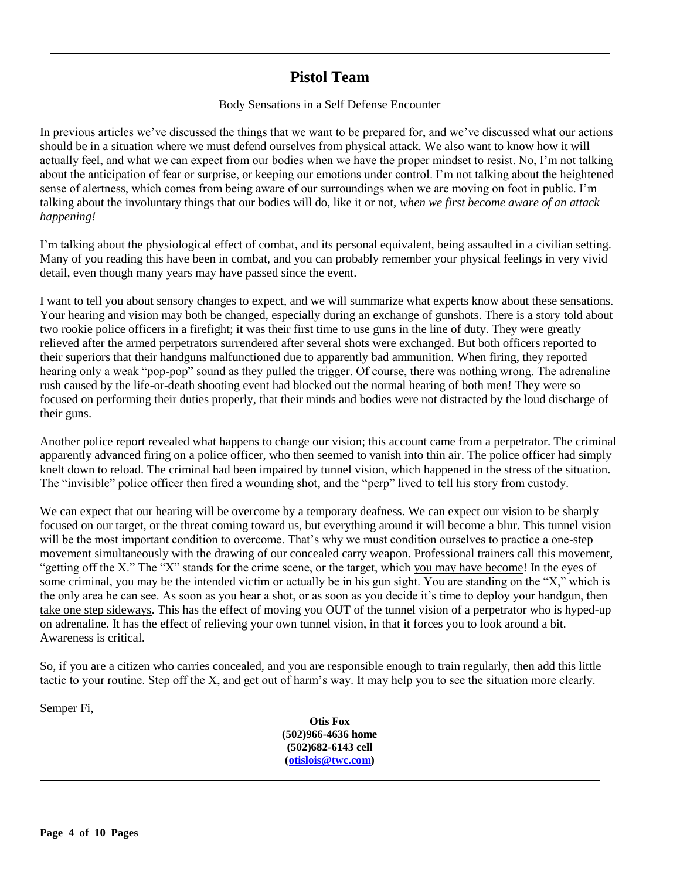# **Pistol Team**

#### Body Sensations in a Self Defense Encounter

In previous articles we've discussed the things that we want to be prepared for, and we've discussed what our actions should be in a situation where we must defend ourselves from physical attack. We also want to know how it will actually feel, and what we can expect from our bodies when we have the proper mindset to resist. No, I'm not talking about the anticipation of fear or surprise, or keeping our emotions under control. I'm not talking about the heightened sense of alertness, which comes from being aware of our surroundings when we are moving on foot in public. I'm talking about the involuntary things that our bodies will do, like it or not, *when we first become aware of an attack happening!*

I'm talking about the physiological effect of combat, and its personal equivalent, being assaulted in a civilian setting. Many of you reading this have been in combat, and you can probably remember your physical feelings in very vivid detail, even though many years may have passed since the event.

I want to tell you about sensory changes to expect, and we will summarize what experts know about these sensations. Your hearing and vision may both be changed, especially during an exchange of gunshots. There is a story told about two rookie police officers in a firefight; it was their first time to use guns in the line of duty. They were greatly relieved after the armed perpetrators surrendered after several shots were exchanged. But both officers reported to their superiors that their handguns malfunctioned due to apparently bad ammunition. When firing, they reported hearing only a weak "pop-pop" sound as they pulled the trigger. Of course, there was nothing wrong. The adrenaline rush caused by the life-or-death shooting event had blocked out the normal hearing of both men! They were so focused on performing their duties properly, that their minds and bodies were not distracted by the loud discharge of their guns.

Another police report revealed what happens to change our vision; this account came from a perpetrator. The criminal apparently advanced firing on a police officer, who then seemed to vanish into thin air. The police officer had simply knelt down to reload. The criminal had been impaired by tunnel vision, which happened in the stress of the situation. The "invisible" police officer then fired a wounding shot, and the "perp" lived to tell his story from custody.

We can expect that our hearing will be overcome by a temporary deafness. We can expect our vision to be sharply focused on our target, or the threat coming toward us, but everything around it will become a blur. This tunnel vision will be the most important condition to overcome. That's why we must condition ourselves to practice a one-step movement simultaneously with the drawing of our concealed carry weapon. Professional trainers call this movement, "getting off the X." The "X" stands for the crime scene, or the target, which you may have become! In the eyes of some criminal, you may be the intended victim or actually be in his gun sight. You are standing on the "X," which is the only area he can see. As soon as you hear a shot, or as soon as you decide it's time to deploy your handgun, then take one step sideways. This has the effect of moving you OUT of the tunnel vision of a perpetrator who is hyped-up on adrenaline. It has the effect of relieving your own tunnel vision, in that it forces you to look around a bit. Awareness is critical.

So, if you are a citizen who carries concealed, and you are responsible enough to train regularly, then add this little tactic to your routine. Step off the X, and get out of harm's way. It may help you to see the situation more clearly.

Semper Fi,

**Otis Fox (502)966-4636 home (502)682-6143 cell [\(otislois@twc.com\)](mailto:otislois@twc.com)**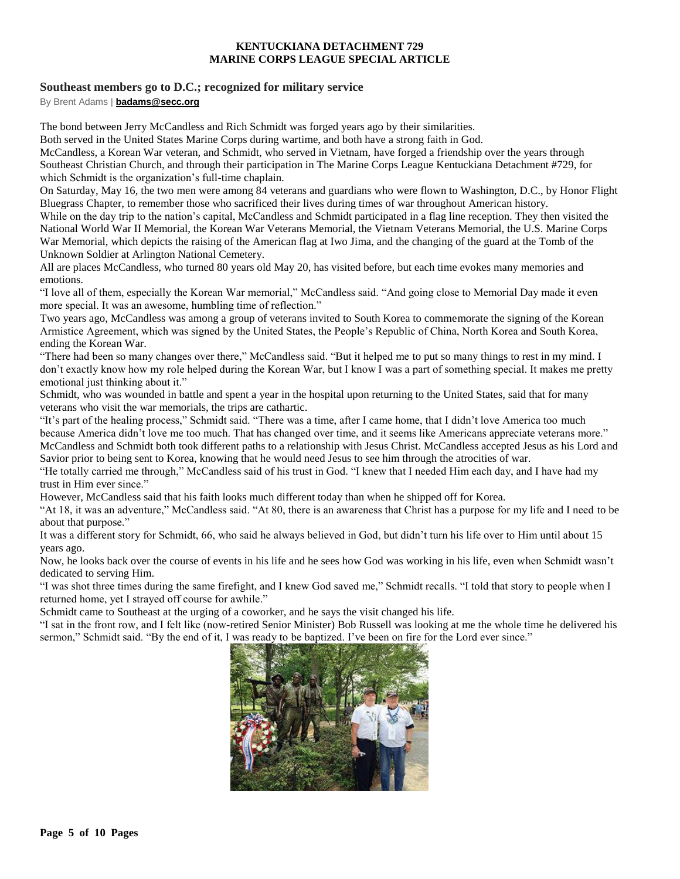#### **KENTUCKIANA DETACHMENT 729 MARINE CORPS LEAGUE SPECIAL ARTICLE**

#### **Southeast members go to D.C.; recognized for military service**

By Brent Adams | **[badams@secc.org](mailto:badams@secc.org)**

The bond between Jerry McCandless and Rich Schmidt was forged years ago by their similarities.

Both served in the United States Marine Corps during wartime, and both have a strong faith in God.

McCandless, a Korean War veteran, and Schmidt, who served in Vietnam, have forged a friendship over the years through Southeast Christian Church, and through their participation in The Marine Corps League Kentuckiana Detachment #729, for which Schmidt is the organization's full-time chaplain.

On Saturday, May 16, the two men were among 84 veterans and guardians who were flown to Washington, D.C., by Honor Flight Bluegrass Chapter, to remember those who sacrificed their lives during times of war throughout American history.

While on the day trip to the nation's capital, McCandless and Schmidt participated in a flag line reception. They then visited the National World War II Memorial, the Korean War Veterans Memorial, the Vietnam Veterans Memorial, the U.S. Marine Corps War Memorial, which depicts the raising of the American flag at Iwo Jima, and the changing of the guard at the Tomb of the Unknown Soldier at Arlington National Cemetery.

All are places McCandless, who turned 80 years old May 20, has visited before, but each time evokes many memories and emotions.

"I love all of them, especially the Korean War memorial," McCandless said. "And going close to Memorial Day made it even more special. It was an awesome, humbling time of reflection."

Two years ago, McCandless was among a group of veterans invited to South Korea to commemorate the signing of the Korean Armistice Agreement, which was signed by the United States, the People's Republic of China, North Korea and South Korea, ending the Korean War.

"There had been so many changes over there," McCandless said. "But it helped me to put so many things to rest in my mind. I don't exactly know how my role helped during the Korean War, but I know I was a part of something special. It makes me pretty emotional just thinking about it."

Schmidt, who was wounded in battle and spent a year in the hospital upon returning to the United States, said that for many veterans who visit the war memorials, the trips are cathartic.

"It's part of the healing process," Schmidt said. "There was a time, after I came home, that I didn't love America too much because America didn't love me too much. That has changed over time, and it seems like Americans appreciate veterans more." McCandless and Schmidt both took different paths to a relationship with Jesus Christ. McCandless accepted Jesus as his Lord and Savior prior to being sent to Korea, knowing that he would need Jesus to see him through the atrocities of war.

"He totally carried me through," McCandless said of his trust in God. "I knew that I needed Him each day, and I have had my trust in Him ever since."

However, McCandless said that his faith looks much different today than when he shipped off for Korea.

"At 18, it was an adventure," McCandless said. "At 80, there is an awareness that Christ has a purpose for my life and I need to be about that purpose."

It was a different story for Schmidt, 66, who said he always believed in God, but didn't turn his life over to Him until about 15 years ago.

Now, he looks back over the course of events in his life and he sees how God was working in his life, even when Schmidt wasn't dedicated to serving Him.

"I was shot three times during the same firefight, and I knew God saved me," Schmidt recalls. "I told that story to people when I returned home, yet I strayed off course for awhile."

Schmidt came to Southeast at the urging of a coworker, and he says the visit changed his life.

"I sat in the front row, and I felt like (now-retired Senior Minister) Bob Russell was looking at me the whole time he delivered his sermon," Schmidt said. "By the end of it, I was ready to be baptized. I've been on fire for the Lord ever since."

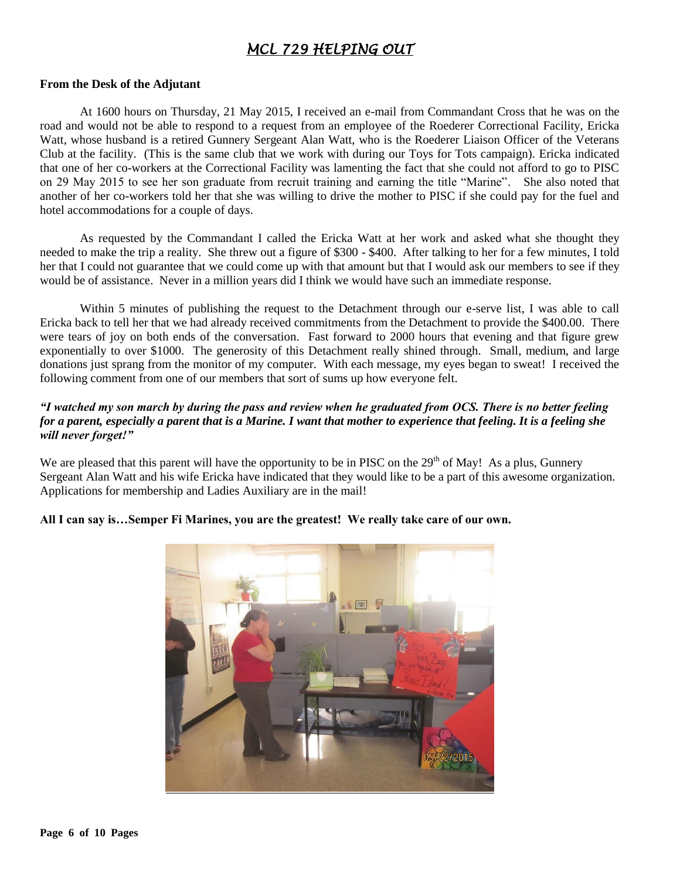# *MCL 729 HELPING OUT*

#### **From the Desk of the Adjutant**

At 1600 hours on Thursday, 21 May 2015, I received an e-mail from Commandant Cross that he was on the road and would not be able to respond to a request from an employee of the Roederer Correctional Facility, Ericka Watt, whose husband is a retired Gunnery Sergeant Alan Watt, who is the Roederer Liaison Officer of the Veterans Club at the facility. (This is the same club that we work with during our Toys for Tots campaign). Ericka indicated that one of her co-workers at the Correctional Facility was lamenting the fact that she could not afford to go to PISC on 29 May 2015 to see her son graduate from recruit training and earning the title "Marine". She also noted that another of her co-workers told her that she was willing to drive the mother to PISC if she could pay for the fuel and hotel accommodations for a couple of days.

As requested by the Commandant I called the Ericka Watt at her work and asked what she thought they needed to make the trip a reality. She threw out a figure of \$300 - \$400. After talking to her for a few minutes, I told her that I could not guarantee that we could come up with that amount but that I would ask our members to see if they would be of assistance. Never in a million years did I think we would have such an immediate response.

Within 5 minutes of publishing the request to the Detachment through our e-serve list, I was able to call Ericka back to tell her that we had already received commitments from the Detachment to provide the \$400.00. There were tears of joy on both ends of the conversation. Fast forward to 2000 hours that evening and that figure grew exponentially to over \$1000. The generosity of this Detachment really shined through. Small, medium, and large donations just sprang from the monitor of my computer. With each message, my eyes began to sweat! I received the following comment from one of our members that sort of sums up how everyone felt.

#### *"I watched my son march by during the pass and review when he graduated from OCS. There is no better feeling for a parent, especially a parent that is a Marine. I want that mother to experience that feeling. It is a feeling she will never forget!"*

We are pleased that this parent will have the opportunity to be in PISC on the  $29<sup>th</sup>$  of May! As a plus, Gunnery Sergeant Alan Watt and his wife Ericka have indicated that they would like to be a part of this awesome organization. Applications for membership and Ladies Auxiliary are in the mail!

#### **All I can say is…Semper Fi Marines, you are the greatest! We really take care of our own.**

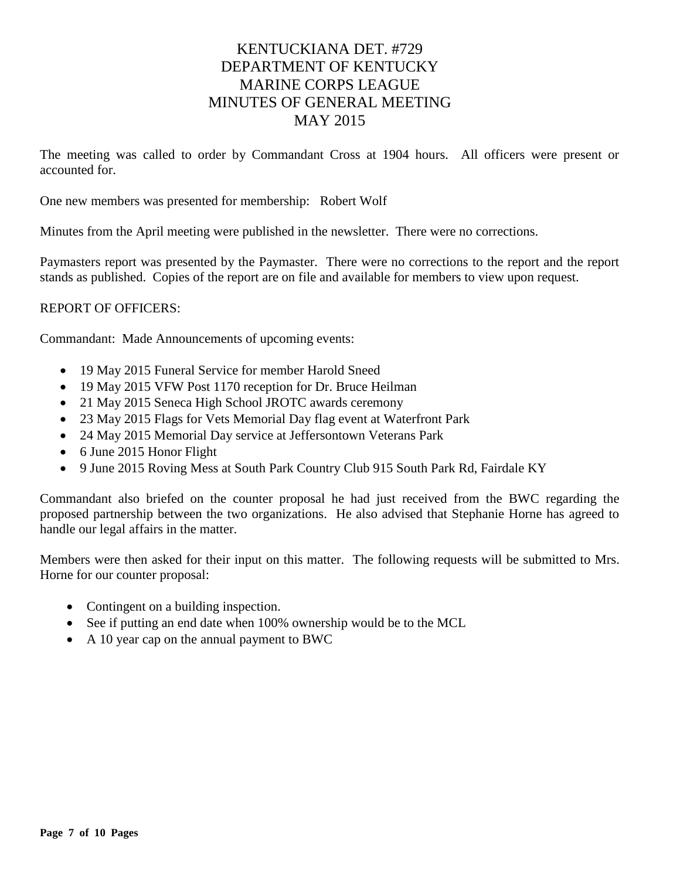# KENTUCKIANA DET. #729 DEPARTMENT OF KENTUCKY MARINE CORPS LEAGUE MINUTES OF GENERAL MEETING MAY 2015

The meeting was called to order by Commandant Cross at 1904 hours. All officers were present or accounted for.

One new members was presented for membership: Robert Wolf

Minutes from the April meeting were published in the newsletter. There were no corrections.

Paymasters report was presented by the Paymaster. There were no corrections to the report and the report stands as published. Copies of the report are on file and available for members to view upon request.

#### REPORT OF OFFICERS:

Commandant: Made Announcements of upcoming events:

- 19 May 2015 Funeral Service for member Harold Sneed
- 19 May 2015 VFW Post 1170 reception for Dr. Bruce Heilman
- 21 May 2015 Seneca High School JROTC awards ceremony
- 23 May 2015 Flags for Vets Memorial Day flag event at Waterfront Park
- 24 May 2015 Memorial Day service at Jeffersontown Veterans Park
- 6 June 2015 Honor Flight
- 9 June 2015 Roving Mess at South Park Country Club 915 South Park Rd, Fairdale KY

Commandant also briefed on the counter proposal he had just received from the BWC regarding the proposed partnership between the two organizations. He also advised that Stephanie Horne has agreed to handle our legal affairs in the matter.

Members were then asked for their input on this matter. The following requests will be submitted to Mrs. Horne for our counter proposal:

- Contingent on a building inspection.
- See if putting an end date when 100% ownership would be to the MCL
- A 10 year cap on the annual payment to BWC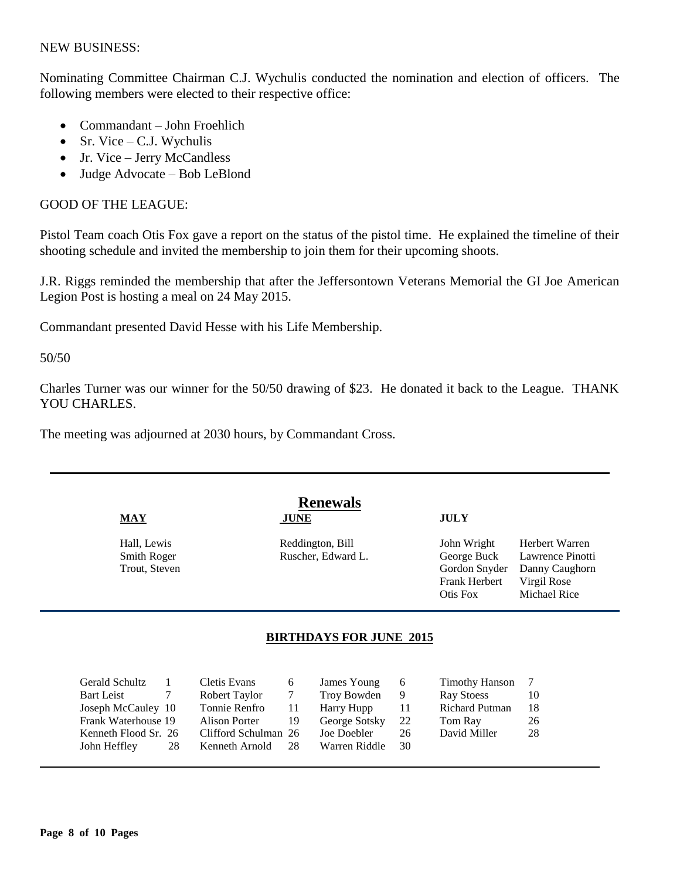#### NEW BUSINESS:

Nominating Committee Chairman C.J. Wychulis conducted the nomination and election of officers. The following members were elected to their respective office:

- Commandant John Froehlich
- $\bullet$  Sr. Vice C.J. Wychulis
- Jr. Vice Jerry McCandless
- Judge Advocate Bob LeBlond

#### GOOD OF THE LEAGUE:

Pistol Team coach Otis Fox gave a report on the status of the pistol time. He explained the timeline of their shooting schedule and invited the membership to join them for their upcoming shoots.

J.R. Riggs reminded the membership that after the Jeffersontown Veterans Memorial the GI Joe American Legion Post is hosting a meal on 24 May 2015.

Commandant presented David Hesse with his Life Membership.

50/50

Charles Turner was our winner for the 50/50 drawing of \$23. He donated it back to the League. THANK YOU CHARLES.

The meeting was adjourned at 2030 hours, by Commandant Cross.

| $MAY$                      | <b>JUNE</b>                            | <b>JULY</b>                |                                    |
|----------------------------|----------------------------------------|----------------------------|------------------------------------|
| Hall, Lewis<br>Smith Roger | Reddington, Bill<br>Ruscher, Edward L. | John Wright<br>George Buck | Herbert Warren<br>Lawrence Pinotti |
| Trout, Steven              |                                        | Gordon Snyder              | Danny Caughorn                     |
|                            |                                        | <b>Frank Herbert</b>       | Virgil Rose                        |
|                            |                                        | Otis Fox                   | Michael Rice                       |

| Gerald Schultz       |     | Cletis Evans         | $6-1$ | James Young   | - 6  | <b>Timothy Hanson</b> |    |
|----------------------|-----|----------------------|-------|---------------|------|-----------------------|----|
| <b>Bart Leist</b>    |     | Robert Taylor        | 7     | Troy Bowden   | - 9  | Ray Stoess            | 10 |
| Joseph McCauley 10   |     | Tonnie Renfro        | 11    | Harry Hupp    | -11- | <b>Richard Putman</b> | 18 |
| Frank Waterhouse 19  |     | Alison Porter        | 19    | George Sotsky | 22   | Tom Ray               | 26 |
| Kenneth Flood Sr. 26 |     | Clifford Schulman 26 |       | Joe Doebler   | 26   | David Miller          | 28 |
| John Heffley         | -28 | Kenneth Arnold       | -28   | Warren Riddle | 30   |                       |    |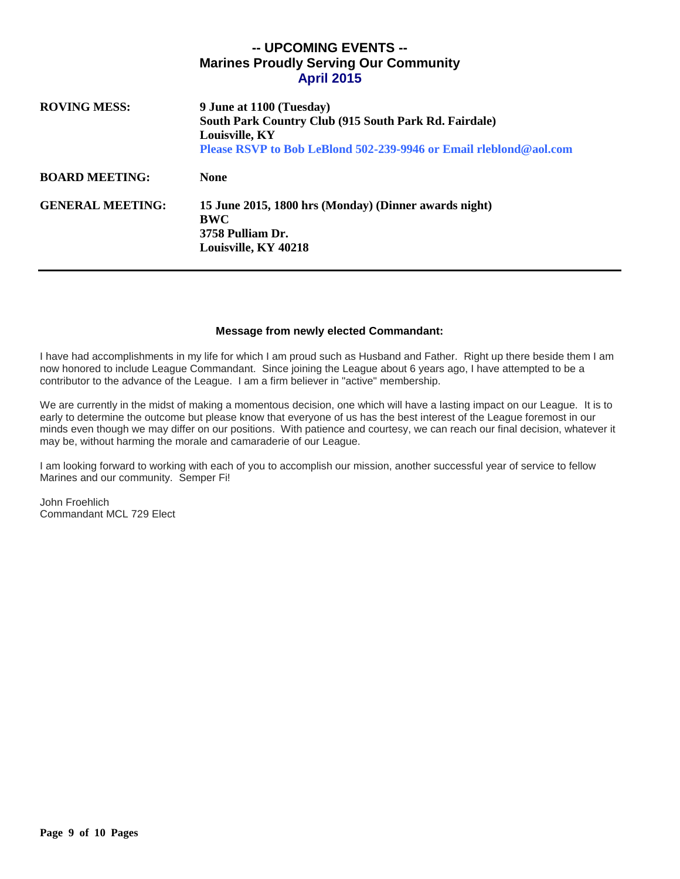### **-- UPCOMING EVENTS -- Marines Proudly Serving Our Community April 2015**

| <b>ROVING MESS:</b>     | 9 June at 1100 (Tuesday)<br>South Park Country Club (915 South Park Rd. Fairdale)<br>Louisville, KY<br>Please RSVP to Bob LeBlond 502-239-9946 or Email rleblond@aol.com |  |  |
|-------------------------|--------------------------------------------------------------------------------------------------------------------------------------------------------------------------|--|--|
| <b>BOARD MEETING:</b>   | <b>None</b>                                                                                                                                                              |  |  |
| <b>GENERAL MEETING:</b> | 15 June 2015, 1800 hrs (Monday) (Dinner awards night)<br><b>BWC</b><br>3758 Pulliam Dr.<br>Louisville, KY 40218                                                          |  |  |

#### **Message from newly elected Commandant:**

I have had accomplishments in my life for which I am proud such as Husband and Father. Right up there beside them I am now honored to include League Commandant. Since joining the League about 6 years ago, I have attempted to be a contributor to the advance of the League. I am a firm believer in "active" membership.

We are currently in the midst of making a momentous decision, one which will have a lasting impact on our League. It is to early to determine the outcome but please know that everyone of us has the best interest of the League foremost in our minds even though we may differ on our positions. With patience and courtesy, we can reach our final decision, whatever it may be, without harming the morale and camaraderie of our League.

I am looking forward to working with each of you to accomplish our mission, another successful year of service to fellow Marines and our community. Semper Fi!

John Froehlich Commandant MCL 729 Elect